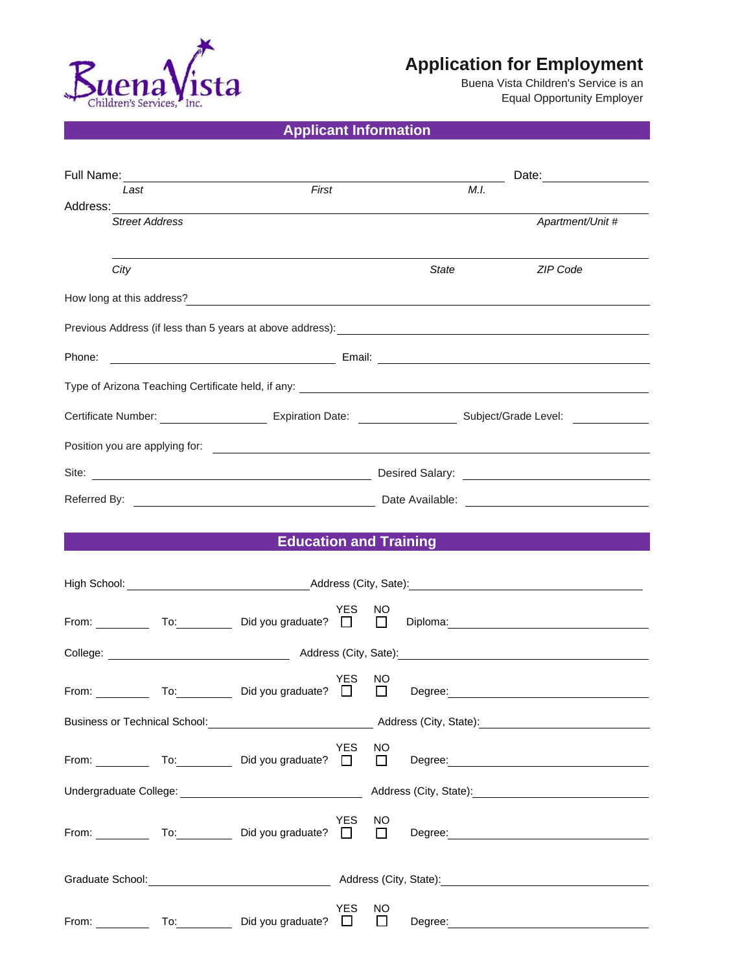

## **Application for Employment**

Buena Vista Children's Service is an Equal Opportunity Employer

### **Applicant Information**

|                                                                                                                        |  |                                                                                                                                                                                                                                       |            |               |       |      | Date:                                                                                                                                                                                                                                |
|------------------------------------------------------------------------------------------------------------------------|--|---------------------------------------------------------------------------------------------------------------------------------------------------------------------------------------------------------------------------------------|------------|---------------|-------|------|--------------------------------------------------------------------------------------------------------------------------------------------------------------------------------------------------------------------------------------|
| Last                                                                                                                   |  | First                                                                                                                                                                                                                                 |            |               |       | M.L. |                                                                                                                                                                                                                                      |
| Address:<br><b>Street Address</b>                                                                                      |  |                                                                                                                                                                                                                                       |            |               |       |      | Apartment/Unit #                                                                                                                                                                                                                     |
| City                                                                                                                   |  |                                                                                                                                                                                                                                       |            |               | State |      | ZIP Code                                                                                                                                                                                                                             |
|                                                                                                                        |  | How long at this address?<br><u> and</u> the address of the address of the address of the address of the address of the address of the address of the address of the address of the address of the address of the address of the addr |            |               |       |      |                                                                                                                                                                                                                                      |
|                                                                                                                        |  |                                                                                                                                                                                                                                       |            |               |       |      |                                                                                                                                                                                                                                      |
| Phone:                                                                                                                 |  |                                                                                                                                                                                                                                       |            |               |       |      |                                                                                                                                                                                                                                      |
|                                                                                                                        |  |                                                                                                                                                                                                                                       |            |               |       |      |                                                                                                                                                                                                                                      |
|                                                                                                                        |  |                                                                                                                                                                                                                                       |            |               |       |      | Certificate Number: _________________________________Expiration Date: _____________________________Subject/Grade Level: _______________                                                                                              |
|                                                                                                                        |  |                                                                                                                                                                                                                                       |            |               |       |      |                                                                                                                                                                                                                                      |
|                                                                                                                        |  |                                                                                                                                                                                                                                       |            |               |       |      |                                                                                                                                                                                                                                      |
|                                                                                                                        |  |                                                                                                                                                                                                                                       |            |               |       |      |                                                                                                                                                                                                                                      |
|                                                                                                                        |  |                                                                                                                                                                                                                                       |            |               |       |      |                                                                                                                                                                                                                                      |
|                                                                                                                        |  | <b>Education and Training</b>                                                                                                                                                                                                         |            |               |       |      |                                                                                                                                                                                                                                      |
|                                                                                                                        |  |                                                                                                                                                                                                                                       |            |               |       |      |                                                                                                                                                                                                                                      |
|                                                                                                                        |  |                                                                                                                                                                                                                                       | YES        | NO.           |       |      |                                                                                                                                                                                                                                      |
|                                                                                                                        |  |                                                                                                                                                                                                                                       |            |               |       |      | From: To: Did you graduate? D Diploma: Diploma:                                                                                                                                                                                      |
|                                                                                                                        |  |                                                                                                                                                                                                                                       |            |               |       |      | College: <u>New York: Address (City, Sate): New York: New York: New York: New York: New York: New York: New York: New York: New York: New York: New York: New York: New York: New York: New York: New York: New York: New York: </u> |
|                                                                                                                        |  |                                                                                                                                                                                                                                       | YES        | NO.           |       |      | From: To: Did you graduate? D Degree: Degree: Degree: Degree: Degree: Degree: Degree: Degree: Degree: Degree: Degree: Degree: Degree: Degree: Degree: Degree: Degree: Degree: Degree: Degree: Degree: Degree: Degree: Degree:        |
|                                                                                                                        |  |                                                                                                                                                                                                                                       |            |               |       |      | Business or Technical School: <u>Contract Community and Address (City, State):</u> Community and Technical School:                                                                                                                   |
|                                                                                                                        |  | From: To: Did you graduate? □                                                                                                                                                                                                         | <b>YES</b> | NO.<br>$\Box$ |       |      | Degree: <u>www.community.community.community.community.community.com</u>                                                                                                                                                             |
|                                                                                                                        |  |                                                                                                                                                                                                                                       |            |               |       |      |                                                                                                                                                                                                                                      |
|                                                                                                                        |  | From: ____________ To: __________ Did you graduate? □ □                                                                                                                                                                               | YES        | NO.           |       |      | Degree: Note and the set of the set of the set of the set of the set of the set of the set of the set of the set of the set of the set of the set of the set of the set of the set of the set of the set of the set of the set       |
| Graduate School: <u>Contract Communication</u> Address (City, State): Communication of the Contract Communication of A |  |                                                                                                                                                                                                                                       |            |               |       |      |                                                                                                                                                                                                                                      |
|                                                                                                                        |  | From: To: To: Did you graduate? □ □                                                                                                                                                                                                   | <b>YES</b> | NO.           |       |      | Degree: <u>Degree:</u> Degree: 2004                                                                                                                                                                                                  |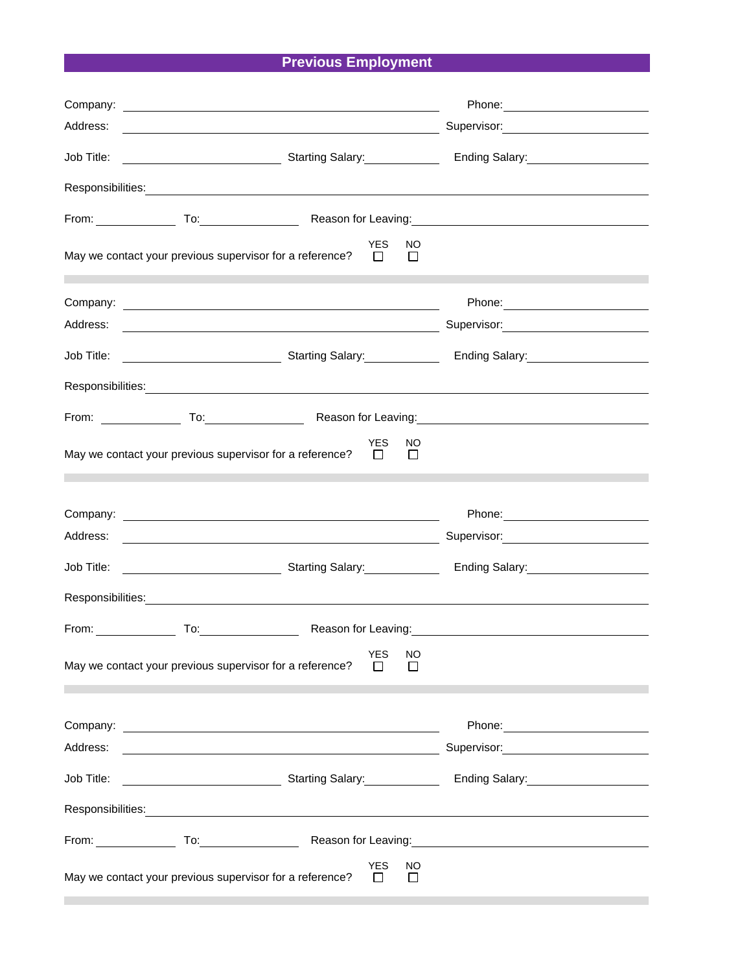# **Previous Employment**

|            |                                                                    |                                                                                                                                                                                                                                      | Phone: 2000 2000 2010 2010 2010 2010 2021 2022 2022 2023 2024 2022 2023 2024 2022 2023 2024 2025 2026 2027 20                                                                                                                  |  |  |  |
|------------|--------------------------------------------------------------------|--------------------------------------------------------------------------------------------------------------------------------------------------------------------------------------------------------------------------------------|--------------------------------------------------------------------------------------------------------------------------------------------------------------------------------------------------------------------------------|--|--|--|
| Address:   |                                                                    | <u> 1989 - Johann Barn, mars and de Brasilian (b. 1989)</u>                                                                                                                                                                          | Supervisor: Victor Communication Communication Communication Communication Communication Communication Communication                                                                                                           |  |  |  |
| Job Title: |                                                                    | <b>National Starting Salary:</b>                                                                                                                                                                                                     | Ending Salary: Management Contains                                                                                                                                                                                             |  |  |  |
|            |                                                                    |                                                                                                                                                                                                                                      |                                                                                                                                                                                                                                |  |  |  |
|            |                                                                    |                                                                                                                                                                                                                                      |                                                                                                                                                                                                                                |  |  |  |
|            | May we contact your previous supervisor for a reference? $\Box$    | <b>YES</b><br>NO<br>$\perp$                                                                                                                                                                                                          |                                                                                                                                                                                                                                |  |  |  |
|            |                                                                    |                                                                                                                                                                                                                                      |                                                                                                                                                                                                                                |  |  |  |
| Address:   |                                                                    | <u> 2000 - Andrea Andrew Maria (h. 1878).</u>                                                                                                                                                                                        | Supervisor: 2000                                                                                                                                                                                                               |  |  |  |
|            |                                                                    |                                                                                                                                                                                                                                      | Ending Salary:<br><u>Ending Salary:</u>                                                                                                                                                                                        |  |  |  |
|            |                                                                    |                                                                                                                                                                                                                                      |                                                                                                                                                                                                                                |  |  |  |
|            |                                                                    |                                                                                                                                                                                                                                      |                                                                                                                                                                                                                                |  |  |  |
|            | May we contact your previous supervisor for a reference? $\square$ | <b>YES</b><br>NO<br>$\Box$                                                                                                                                                                                                           |                                                                                                                                                                                                                                |  |  |  |
|            |                                                                    |                                                                                                                                                                                                                                      |                                                                                                                                                                                                                                |  |  |  |
|            |                                                                    |                                                                                                                                                                                                                                      |                                                                                                                                                                                                                                |  |  |  |
| Address:   |                                                                    | <u> 1989 - Andrea Stadt Britain, amerikansk politiker (</u>                                                                                                                                                                          | Supervisor: Victor Contract Contract Contract Contract Contract Contract Contract Contract Contract Contract Co                                                                                                                |  |  |  |
| Job Title: |                                                                    | Starting Salary: Management Communication Starting Salary:                                                                                                                                                                           | Ending Salary: Management Contains                                                                                                                                                                                             |  |  |  |
|            |                                                                    |                                                                                                                                                                                                                                      | Responsibilities: Network and the second service of the service of the service of the service of the service of the service of the service of the service of the service of the service of the service of the service of the s |  |  |  |
|            |                                                                    |                                                                                                                                                                                                                                      |                                                                                                                                                                                                                                |  |  |  |
|            | May we contact your previous supervisor for a reference?           | <b>YES</b><br><b>NO</b><br>$\perp$<br>$\perp$                                                                                                                                                                                        |                                                                                                                                                                                                                                |  |  |  |
|            |                                                                    |                                                                                                                                                                                                                                      |                                                                                                                                                                                                                                |  |  |  |
| Address:   |                                                                    |                                                                                                                                                                                                                                      |                                                                                                                                                                                                                                |  |  |  |
|            |                                                                    |                                                                                                                                                                                                                                      |                                                                                                                                                                                                                                |  |  |  |
| Job Title: |                                                                    | Starting Salary: <u>New York: New York: New York: New York: New York: New York: New York: New York: New York: New York: New York: New York: New York: New York: New York: New York: New York: New York: New York: New York: New </u> | Ending Salary:<br><u>Ending Salary:</u>                                                                                                                                                                                        |  |  |  |
|            |                                                                    |                                                                                                                                                                                                                                      |                                                                                                                                                                                                                                |  |  |  |
|            |                                                                    |                                                                                                                                                                                                                                      |                                                                                                                                                                                                                                |  |  |  |
|            | May we contact your previous supervisor for a reference?           | <b>YES</b><br>NO.<br>$\Box$<br>□                                                                                                                                                                                                     |                                                                                                                                                                                                                                |  |  |  |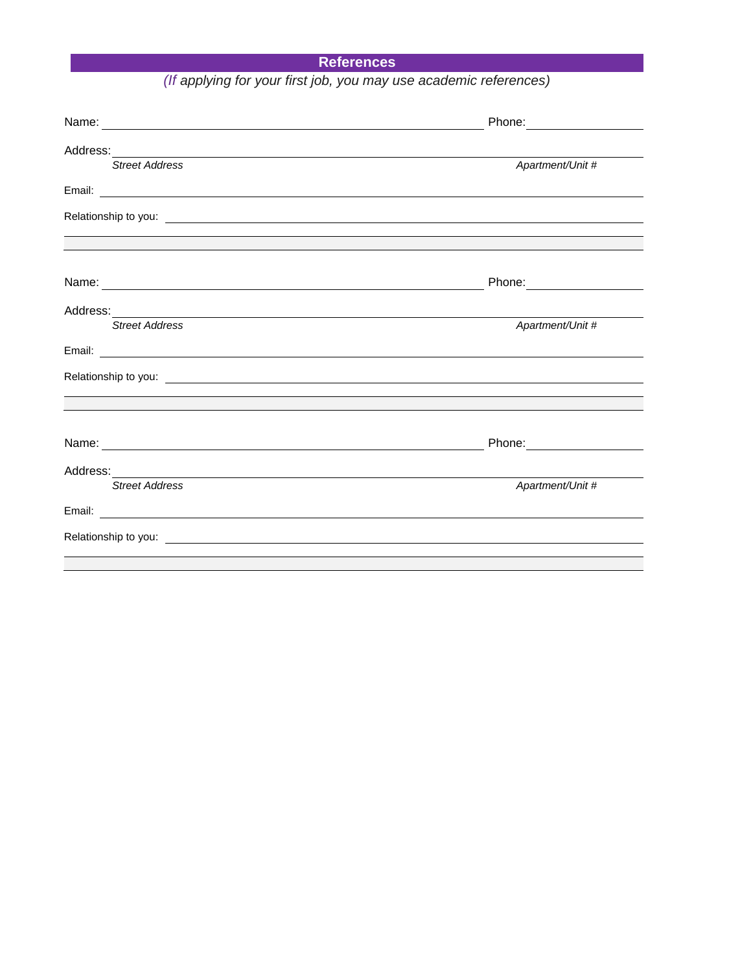### **References**

|                       | Phone: <u>_____________</u>     |
|-----------------------|---------------------------------|
|                       |                                 |
| <b>Street Address</b> | Apartment/Unit #                |
|                       |                                 |
|                       |                                 |
|                       |                                 |
|                       |                                 |
|                       |                                 |
| <b>Street Address</b> | Apartment/Unit #                |
|                       |                                 |
|                       |                                 |
|                       |                                 |
|                       | Phone: <u>www.community.com</u> |
| Address:              |                                 |
| <b>Street Address</b> | Apartment/Unit #                |
|                       |                                 |
|                       |                                 |
|                       |                                 |

# *(If applying for your first job, you may use academic references)*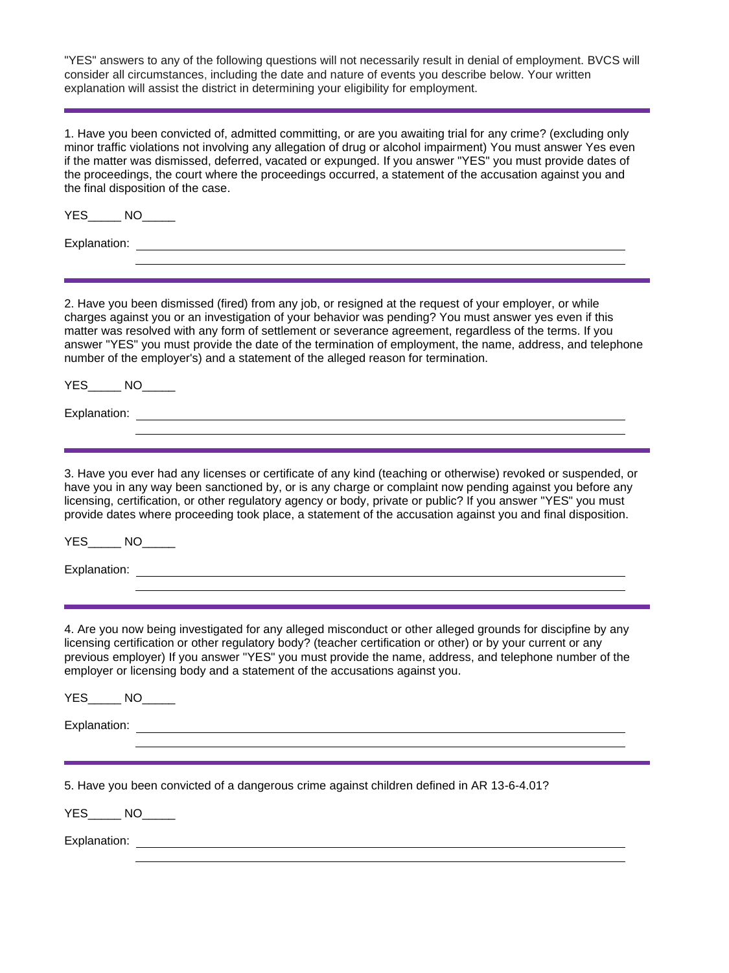"YES" answers to any of the following questions will not necessarily result in denial of employment. BVCS will consider all circumstances, including the date and nature of events you describe below. Your written explanation will assist the district in determining your eligibility for employment.

1. Have you been convicted of, admitted committing, or are you awaiting trial for any crime? (excluding only minor traffic violations not involving any allegation of drug or alcohol impairment) You must answer Yes even if the matter was dismissed, deferred, vacated or expunged. If you answer "YES" you must provide dates of the proceedings, the court where the proceedings occurred, a statement of the accusation against you and the final disposition of the case.

YES NO

Explanation:

2. Have you been dismissed (fired) from any job, or resigned at the request of your employer, or while charges against you or an investigation of your behavior was pending? You must answer yes even if this matter was resolved with any form of settlement or severance agreement, regardless of the terms. If you answer "YES" you must provide the date of the termination of employment, the name, address, and telephone number of the employer's) and a statement of the alleged reason for termination.

YES\_\_\_\_\_ NO\_\_\_\_\_

Explanation:

3. Have you ever had any licenses or certificate of any kind (teaching or otherwise) revoked or suspended, or have you in any way been sanctioned by, or is any charge or complaint now pending against you before any licensing, certification, or other regulatory agency or body, private or public? If you answer "YES" you must provide dates where proceeding took place, a statement of the accusation against you and final disposition.

YES<sup>NO</sup>

Explanation:

4. Are you now being investigated for any alleged misconduct or other alleged grounds for discipfine by any licensing certification or other regulatory body? (teacher certification or other) or by your current or any previous employer) If you answer "YES" you must provide the name, address, and telephone number of the employer or licensing body and a statement of the accusations against you.

| $YES$ NO $\qquad$                                                                         |
|-------------------------------------------------------------------------------------------|
| Explanation: _________________________                                                    |
| 5. Have you been convicted of a dangerous crime against children defined in AR 13-6-4.01? |
| $YES$ NO $\qquad$                                                                         |
| Explanation:                                                                              |